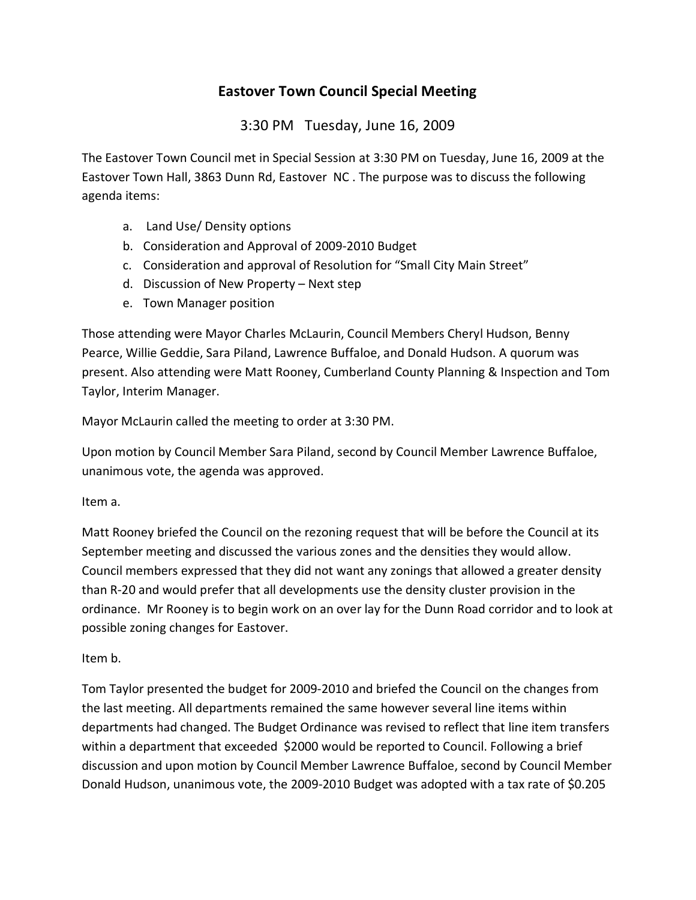## **Eastover Town Council Special Meeting**

3:30 PM Tuesday, June 16, 2009

The Eastover Town Council met in Special Session at 3:30 PM on Tuesday, June 16, 2009 at the Eastover Town Hall, 3863 Dunn Rd, Eastover NC . The purpose was to discuss the following agenda items:

- a. Land Use/ Density options
- b. Consideration and Approval of 2009-2010 Budget
- c. Consideration and approval of Resolution for "Small City Main Street"
- d. Discussion of New Property Next step
- e. Town Manager position

Those attending were Mayor Charles McLaurin, Council Members Cheryl Hudson, Benny Pearce, Willie Geddie, Sara Piland, Lawrence Buffaloe, and Donald Hudson. A quorum was present. Also attending were Matt Rooney, Cumberland County Planning & Inspection and Tom Taylor, Interim Manager.

Mayor McLaurin called the meeting to order at 3:30 PM.

Upon motion by Council Member Sara Piland, second by Council Member Lawrence Buffaloe, unanimous vote, the agenda was approved.

Item a.

Matt Rooney briefed the Council on the rezoning request that will be before the Council at its September meeting and discussed the various zones and the densities they would allow. Council members expressed that they did not want any zonings that allowed a greater density than R-20 and would prefer that all developments use the density cluster provision in the ordinance. Mr Rooney is to begin work on an over lay for the Dunn Road corridor and to look at possible zoning changes for Eastover.

Item b.

Tom Taylor presented the budget for 2009-2010 and briefed the Council on the changes from the last meeting. All departments remained the same however several line items within departments had changed. The Budget Ordinance was revised to reflect that line item transfers within a department that exceeded \$2000 would be reported to Council. Following a brief discussion and upon motion by Council Member Lawrence Buffaloe, second by Council Member Donald Hudson, unanimous vote, the 2009-2010 Budget was adopted with a tax rate of \$0.205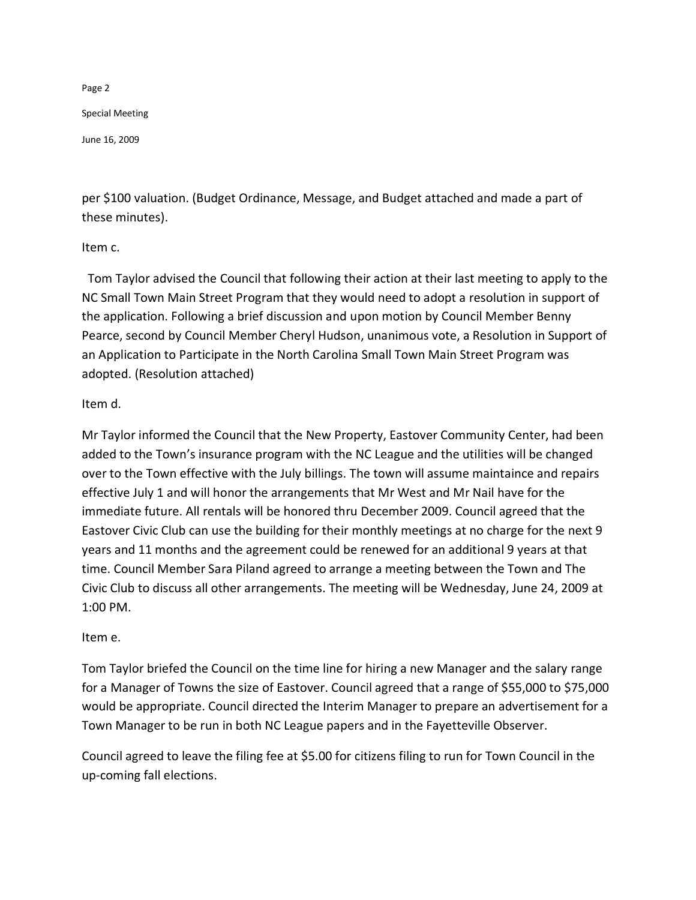Page 2 Special Meeting June 16, 2009

per \$100 valuation. (Budget Ordinance, Message, and Budget attached and made a part of these minutes).

## Item c.

 Tom Taylor advised the Council that following their action at their last meeting to apply to the NC Small Town Main Street Program that they would need to adopt a resolution in support of the application. Following a brief discussion and upon motion by Council Member Benny Pearce, second by Council Member Cheryl Hudson, unanimous vote, a Resolution in Support of an Application to Participate in the North Carolina Small Town Main Street Program was adopted. (Resolution attached)

## Item d.

Mr Taylor informed the Council that the New Property, Eastover Community Center, had been added to the Town's insurance program with the NC League and the utilities will be changed over to the Town effective with the July billings. The town will assume maintaince and repairs effective July 1 and will honor the arrangements that Mr West and Mr Nail have for the immediate future. All rentals will be honored thru December 2009. Council agreed that the Eastover Civic Club can use the building for their monthly meetings at no charge for the next 9 years and 11 months and the agreement could be renewed for an additional 9 years at that time. Council Member Sara Piland agreed to arrange a meeting between the Town and The Civic Club to discuss all other arrangements. The meeting will be Wednesday, June 24, 2009 at 1:00 PM.

## Item e.

Tom Taylor briefed the Council on the time line for hiring a new Manager and the salary range for a Manager of Towns the size of Eastover. Council agreed that a range of \$55,000 to \$75,000 would be appropriate. Council directed the Interim Manager to prepare an advertisement for a Town Manager to be run in both NC League papers and in the Fayetteville Observer.

Council agreed to leave the filing fee at \$5.00 for citizens filing to run for Town Council in the up-coming fall elections.